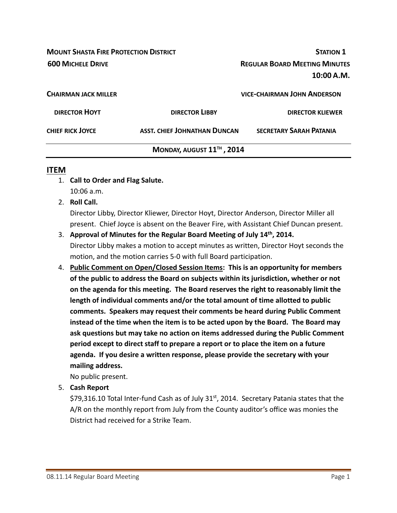| <b>MOUNT SHASTA FIRE PROTECTION DISTRICT</b> |                                     | <b>STATION 1</b>                     |
|----------------------------------------------|-------------------------------------|--------------------------------------|
| <b>600 MICHELE DRIVE</b>                     |                                     | <b>REGULAR BOARD MEETING MINUTES</b> |
|                                              |                                     | 10:00 A.M.                           |
| <b>CHAIRMAN JACK MILLER</b>                  |                                     | <b>VICE-CHAIRMAN JOHN ANDERSON</b>   |
| <b>DIRECTOR HOYT</b>                         | <b>DIRECTOR LIBBY</b>               | <b>DIRECTOR KLIEWER</b>              |
| <b>CHIEF RICK JOYCE</b>                      | <b>ASST. CHIEF JOHNATHAN DUNCAN</b> | <b>SECRETARY SARAH PATANIA</b>       |
|                                              | MONDAY, AUGUST 11TH, 2014           |                                      |

#### **ITEM**

- 1. **Call to Order and Flag Salute.** 10:06 a.m.
- 2. **Roll Call.**

Director Libby, Director Kliewer, Director Hoyt, Director Anderson, Director Miller all present. Chief Joyce is absent on the Beaver Fire, with Assistant Chief Duncan present.

- 3. **Approval of Minutes for the Regular Board Meeting of July 14th, 2014.** Director Libby makes a motion to accept minutes as written, Director Hoyt seconds the motion, and the motion carries 5‐0 with full Board participation.
- 4. **Public Comment on Open/Closed Session Items: This is an opportunity for members of the public to address the Board on subjects within its jurisdiction, whether or not on the agenda for this meeting. The Board reserves the right to reasonably limit the length of individual comments and/or the total amount of time allotted to public comments. Speakers may request their comments be heard during Public Comment instead of the time when the item is to be acted upon by the Board. The Board may ask questions but may take no action on items addressed during the Public Comment period except to direct staff to prepare a report or to place the item on a future agenda. If you desire a written response, please provide the secretary with your mailing address.**

No public present.

5. **Cash Report** 

 $$79,316.10$  Total Inter-fund Cash as of July 31<sup>st</sup>, 2014. Secretary Patania states that the A/R on the monthly report from July from the County auditor's office was monies the District had received for a Strike Team.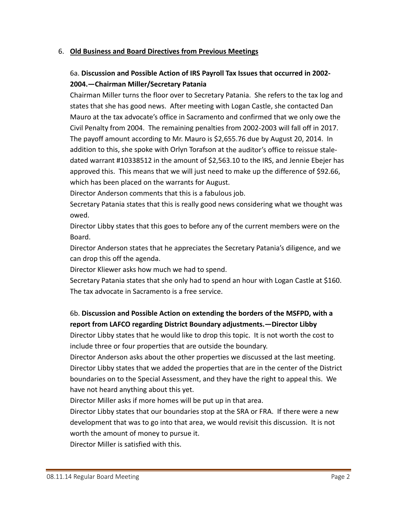#### 6. **Old Business and Board Directives from Previous Meetings**

### 6a. **Discussion and Possible Action of IRS Payroll Tax Issues that occurred in 2002‐ 2004.—Chairman Miller/Secretary Patania**

Chairman Miller turns the floor over to Secretary Patania. She refers to the tax log and states that she has good news. After meeting with Logan Castle, she contacted Dan Mauro at the tax advocate's office in Sacramento and confirmed that we only owe the Civil Penalty from 2004. The remaining penalties from 2002‐2003 will fall off in 2017. The payoff amount according to Mr. Mauro is \$2,655.76 due by August 20, 2014. In addition to this, she spoke with Orlyn Torafson at the auditor's office to reissue stale‐ dated warrant #10338512 in the amount of \$2,563.10 to the IRS, and Jennie Ebejer has approved this. This means that we will just need to make up the difference of \$92.66, which has been placed on the warrants for August.

Director Anderson comments that this is a fabulous job.

Secretary Patania states that this is really good news considering what we thought was owed.

Director Libby states that this goes to before any of the current members were on the Board.

Director Anderson states that he appreciates the Secretary Patania's diligence, and we can drop this off the agenda.

Director Kliewer asks how much we had to spend.

Secretary Patania states that she only had to spend an hour with Logan Castle at \$160. The tax advocate in Sacramento is a free service.

## 6b. **Discussion and Possible Action on extending the borders of the MSFPD, with a report from LAFCO regarding District Boundary adjustments.—Director Libby**

Director Libby states that he would like to drop this topic. It is not worth the cost to include three or four properties that are outside the boundary.

Director Anderson asks about the other properties we discussed at the last meeting. Director Libby states that we added the properties that are in the center of the District boundaries on to the Special Assessment, and they have the right to appeal this. We have not heard anything about this yet.

Director Miller asks if more homes will be put up in that area.

Director Libby states that our boundaries stop at the SRA or FRA. If there were a new development that was to go into that area, we would revisit this discussion. It is not worth the amount of money to pursue it.

Director Miller is satisfied with this.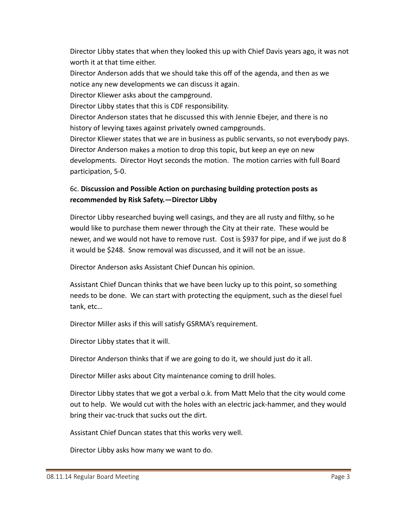Director Libby states that when they looked this up with Chief Davis years ago, it was not worth it at that time either. Director Anderson adds that we should take this off of the agenda, and then as we notice any new developments we can discuss it again. Director Kliewer asks about the campground. Director Libby states that this is CDF responsibility. Director Anderson states that he discussed this with Jennie Ebejer, and there is no history of levying taxes against privately owned campgrounds. Director Kliewer states that we are in business as public servants, so not everybody pays. Director Anderson makes a motion to drop this topic, but keep an eye on new developments. Director Hoyt seconds the motion. The motion carries with full Board participation, 5‐0.

### 6c. **Discussion and Possible Action on purchasing building protection posts as recommended by Risk Safety.—Director Libby**

Director Libby researched buying well casings, and they are all rusty and filthy, so he would like to purchase them newer through the City at their rate. These would be newer, and we would not have to remove rust. Cost is \$937 for pipe, and if we just do 8 it would be \$248. Snow removal was discussed, and it will not be an issue.

Director Anderson asks Assistant Chief Duncan his opinion.

Assistant Chief Duncan thinks that we have been lucky up to this point, so something needs to be done. We can start with protecting the equipment, such as the diesel fuel tank, etc…

Director Miller asks if this will satisfy GSRMA's requirement.

Director Libby states that it will.

Director Anderson thinks that if we are going to do it, we should just do it all.

Director Miller asks about City maintenance coming to drill holes.

Director Libby states that we got a verbal o.k. from Matt Melo that the city would come out to help. We would cut with the holes with an electric jack‐hammer, and they would bring their vac‐truck that sucks out the dirt.

Assistant Chief Duncan states that this works very well.

Director Libby asks how many we want to do.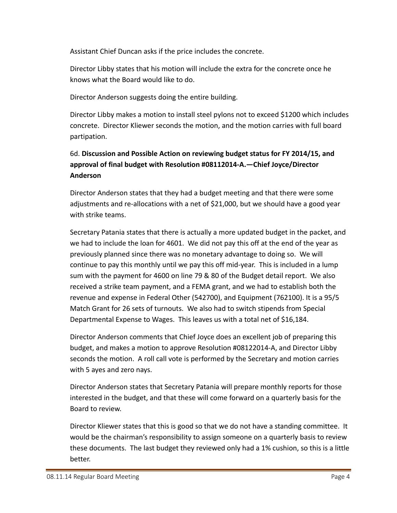Assistant Chief Duncan asks if the price includes the concrete.

Director Libby states that his motion will include the extra for the concrete once he knows what the Board would like to do.

Director Anderson suggests doing the entire building.

Director Libby makes a motion to install steel pylons not to exceed \$1200 which includes concrete. Director Kliewer seconds the motion, and the motion carries with full board partipation.

## 6d. **Discussion and Possible Action on reviewing budget status for FY 2014/15, and approval of final budget with Resolution #08112014‐A.—Chief Joyce/Director Anderson**

Director Anderson states that they had a budget meeting and that there were some adjustments and re‐allocations with a net of \$21,000, but we should have a good year with strike teams.

Secretary Patania states that there is actually a more updated budget in the packet, and we had to include the loan for 4601. We did not pay this off at the end of the year as previously planned since there was no monetary advantage to doing so. We will continue to pay this monthly until we pay this off mid-year. This is included in a lump sum with the payment for 4600 on line 79 & 80 of the Budget detail report. We also received a strike team payment, and a FEMA grant, and we had to establish both the revenue and expense in Federal Other (542700), and Equipment (762100). It is a 95/5 Match Grant for 26 sets of turnouts. We also had to switch stipends from Special Departmental Expense to Wages. This leaves us with a total net of \$16,184.

Director Anderson comments that Chief Joyce does an excellent job of preparing this budget, and makes a motion to approve Resolution #08122014‐A, and Director Libby seconds the motion. A roll call vote is performed by the Secretary and motion carries with 5 ayes and zero nays.

Director Anderson states that Secretary Patania will prepare monthly reports for those interested in the budget, and that these will come forward on a quarterly basis for the Board to review.

Director Kliewer states that this is good so that we do not have a standing committee. It would be the chairman's responsibility to assign someone on a quarterly basis to review these documents. The last budget they reviewed only had a 1% cushion, so this is a little better.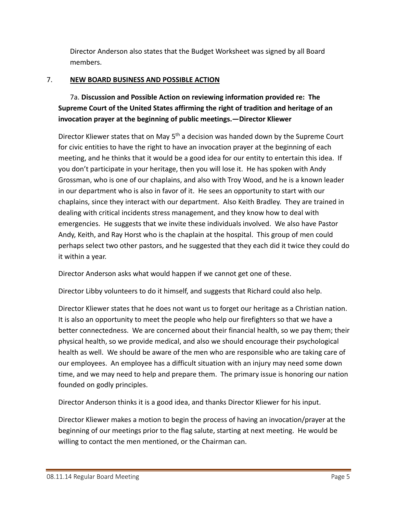Director Anderson also states that the Budget Worksheet was signed by all Board members.

### 7. **NEW BOARD BUSINESS AND POSSIBLE ACTION**

## 7a. **Discussion and Possible Action on reviewing information provided re: The Supreme Court of the United States affirming the right of tradition and heritage of an invocation prayer at the beginning of public meetings.—Director Kliewer**

Director Kliewer states that on May  $5<sup>th</sup>$  a decision was handed down by the Supreme Court for civic entities to have the right to have an invocation prayer at the beginning of each meeting, and he thinks that it would be a good idea for our entity to entertain this idea. If you don't participate in your heritage, then you will lose it. He has spoken with Andy Grossman, who is one of our chaplains, and also with Troy Wood, and he is a known leader in our department who is also in favor of it. He sees an opportunity to start with our chaplains, since they interact with our department. Also Keith Bradley. They are trained in dealing with critical incidents stress management, and they know how to deal with emergencies. He suggests that we invite these individuals involved. We also have Pastor Andy, Keith, and Ray Horst who is the chaplain at the hospital. This group of men could perhaps select two other pastors, and he suggested that they each did it twice they could do it within a year.

Director Anderson asks what would happen if we cannot get one of these.

Director Libby volunteers to do it himself, and suggests that Richard could also help.

Director Kliewer states that he does not want us to forget our heritage as a Christian nation. It is also an opportunity to meet the people who help our firefighters so that we have a better connectedness. We are concerned about their financial health, so we pay them; their physical health, so we provide medical, and also we should encourage their psychological health as well. We should be aware of the men who are responsible who are taking care of our employees. An employee has a difficult situation with an injury may need some down time, and we may need to help and prepare them. The primary issue is honoring our nation founded on godly principles.

Director Anderson thinks it is a good idea, and thanks Director Kliewer for his input.

Director Kliewer makes a motion to begin the process of having an invocation/prayer at the beginning of our meetings prior to the flag salute, starting at next meeting. He would be willing to contact the men mentioned, or the Chairman can.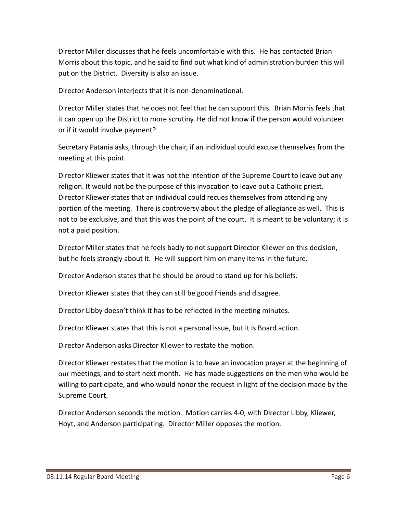Director Miller discusses that he feels uncomfortable with this. He has contacted Brian Morris about this topic, and he said to find out what kind of administration burden this will put on the District. Diversity is also an issue.

Director Anderson interjects that it is non‐denominational.

Director Miller states that he does not feel that he can support this. Brian Morris feels that it can open up the District to more scrutiny. He did not know if the person would volunteer or if it would involve payment?

Secretary Patania asks, through the chair, if an individual could excuse themselves from the meeting at this point.

Director Kliewer states that it was not the intention of the Supreme Court to leave out any religion. It would not be the purpose of this invocation to leave out a Catholic priest. Director Kliewer states that an individual could recues themselves from attending any portion of the meeting. There is controversy about the pledge of allegiance as well. This is not to be exclusive, and that this was the point of the court. It is meant to be voluntary; it is not a paid position.

Director Miller states that he feels badly to not support Director Kliewer on this decision, but he feels strongly about it. He will support him on many items in the future.

Director Anderson states that he should be proud to stand up for his beliefs.

Director Kliewer states that they can still be good friends and disagree.

Director Libby doesn't think it has to be reflected in the meeting minutes.

Director Kliewer states that this is not a personal issue, but it is Board action.

Director Anderson asks Director Kliewer to restate the motion.

Director Kliewer restates that the motion is to have an invocation prayer at the beginning of our meetings, and to start next month. He has made suggestions on the men who would be willing to participate, and who would honor the request in light of the decision made by the Supreme Court.

Director Anderson seconds the motion. Motion carries 4‐0, with Director Libby, Kliewer, Hoyt, and Anderson participating. Director Miller opposes the motion.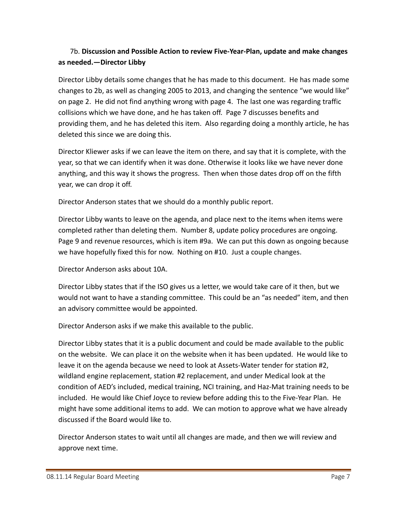## 7b. **Discussion and Possible Action to review Five‐Year‐Plan, update and make changes as needed.—Director Libby**

Director Libby details some changes that he has made to this document. He has made some changes to 2b, as well as changing 2005 to 2013, and changing the sentence "we would like" on page 2. He did not find anything wrong with page 4. The last one was regarding traffic collisions which we have done, and he has taken off. Page 7 discusses benefits and providing them, and he has deleted this item. Also regarding doing a monthly article, he has deleted this since we are doing this.

Director Kliewer asks if we can leave the item on there, and say that it is complete, with the year, so that we can identify when it was done. Otherwise it looks like we have never done anything, and this way it shows the progress. Then when those dates drop off on the fifth year, we can drop it off.

Director Anderson states that we should do a monthly public report.

Director Libby wants to leave on the agenda, and place next to the items when items were completed rather than deleting them. Number 8, update policy procedures are ongoing. Page 9 and revenue resources, which is item #9a. We can put this down as ongoing because we have hopefully fixed this for now. Nothing on #10. Just a couple changes.

Director Anderson asks about 10A.

Director Libby states that if the ISO gives us a letter, we would take care of it then, but we would not want to have a standing committee. This could be an "as needed" item, and then an advisory committee would be appointed.

Director Anderson asks if we make this available to the public.

Director Libby states that it is a public document and could be made available to the public on the website. We can place it on the website when it has been updated. He would like to leave it on the agenda because we need to look at Assets‐Water tender for station #2, wildland engine replacement, station #2 replacement, and under Medical look at the condition of AED's included, medical training, NCI training, and Haz‐Mat training needs to be included. He would like Chief Joyce to review before adding this to the Five‐Year Plan. He might have some additional items to add. We can motion to approve what we have already discussed if the Board would like to.

Director Anderson states to wait until all changes are made, and then we will review and approve next time.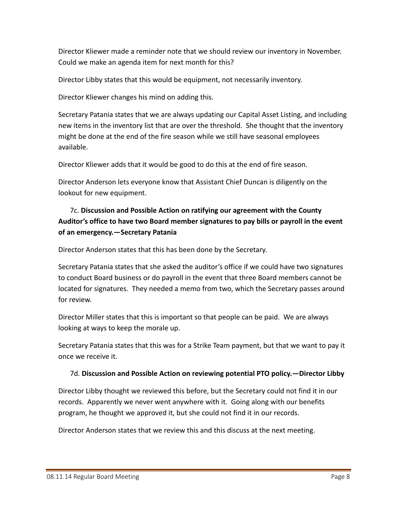Director Kliewer made a reminder note that we should review our inventory in November. Could we make an agenda item for next month for this?

Director Libby states that this would be equipment, not necessarily inventory.

Director Kliewer changes his mind on adding this.

Secretary Patania states that we are always updating our Capital Asset Listing, and including new items in the inventory list that are over the threshold. She thought that the inventory might be done at the end of the fire season while we still have seasonal employees available.

Director Kliewer adds that it would be good to do this at the end of fire season.

Director Anderson lets everyone know that Assistant Chief Duncan is diligently on the lookout for new equipment.

## 7c. **Discussion and Possible Action on ratifying our agreement with the County Auditor's office to have two Board member signatures to pay bills or payroll in the event of an emergency.—Secretary Patania**

Director Anderson states that this has been done by the Secretary.

Secretary Patania states that she asked the auditor's office if we could have two signatures to conduct Board business or do payroll in the event that three Board members cannot be located for signatures. They needed a memo from two, which the Secretary passes around for review.

Director Miller states that this is important so that people can be paid. We are always looking at ways to keep the morale up.

Secretary Patania states that this was for a Strike Team payment, but that we want to pay it once we receive it.

### 7d. **Discussion and Possible Action on reviewing potential PTO policy.—Director Libby**

Director Libby thought we reviewed this before, but the Secretary could not find it in our records. Apparently we never went anywhere with it. Going along with our benefits program, he thought we approved it, but she could not find it in our records.

Director Anderson states that we review this and this discuss at the next meeting.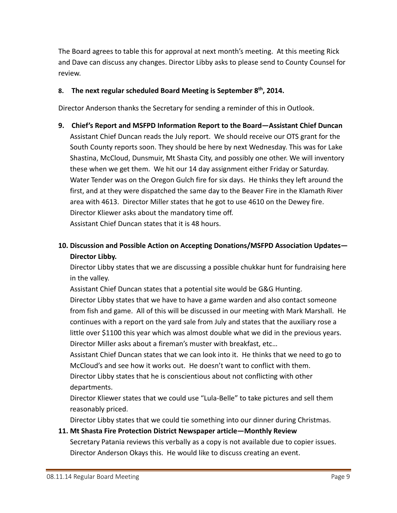The Board agrees to table this for approval at next month's meeting. At this meeting Rick and Dave can discuss any changes. Director Libby asks to please send to County Counsel for review.

### **8. The next regular scheduled Board Meeting is September 8th, 2014.**

Director Anderson thanks the Secretary for sending a reminder of this in Outlook.

- **9. Chief's Report and MSFPD Information Report to the Board—Assistant Chief Duncan** Assistant Chief Duncan reads the July report. We should receive our OTS grant for the South County reports soon. They should be here by next Wednesday. This was for Lake Shastina, McCloud, Dunsmuir, Mt Shasta City, and possibly one other. We will inventory these when we get them. We hit our 14 day assignment either Friday or Saturday. Water Tender was on the Oregon Gulch fire for six days. He thinks they left around the first, and at they were dispatched the same day to the Beaver Fire in the Klamath River area with 4613. Director Miller states that he got to use 4610 on the Dewey fire. Director Kliewer asks about the mandatory time off. Assistant Chief Duncan states that it is 48 hours.
- **10. Discussion and Possible Action on Accepting Donations/MSFPD Association Updates— Director Libby.**

Director Libby states that we are discussing a possible chukkar hunt for fundraising here in the valley.

Assistant Chief Duncan states that a potential site would be G&G Hunting. Director Libby states that we have to have a game warden and also contact someone

from fish and game. All of this will be discussed in our meeting with Mark Marshall. He continues with a report on the yard sale from July and states that the auxiliary rose a little over \$1100 this year which was almost double what we did in the previous years. Director Miller asks about a fireman's muster with breakfast, etc…

Assistant Chief Duncan states that we can look into it. He thinks that we need to go to McCloud's and see how it works out. He doesn't want to conflict with them. Director Libby states that he is conscientious about not conflicting with other departments.

Director Kliewer states that we could use "Lula‐Belle" to take pictures and sell them reasonably priced.

Director Libby states that we could tie something into our dinner during Christmas.

# **11. Mt Shasta Fire Protection District Newspaper article—Monthly Review**

Secretary Patania reviews this verbally as a copy is not available due to copier issues. Director Anderson Okays this. He would like to discuss creating an event.